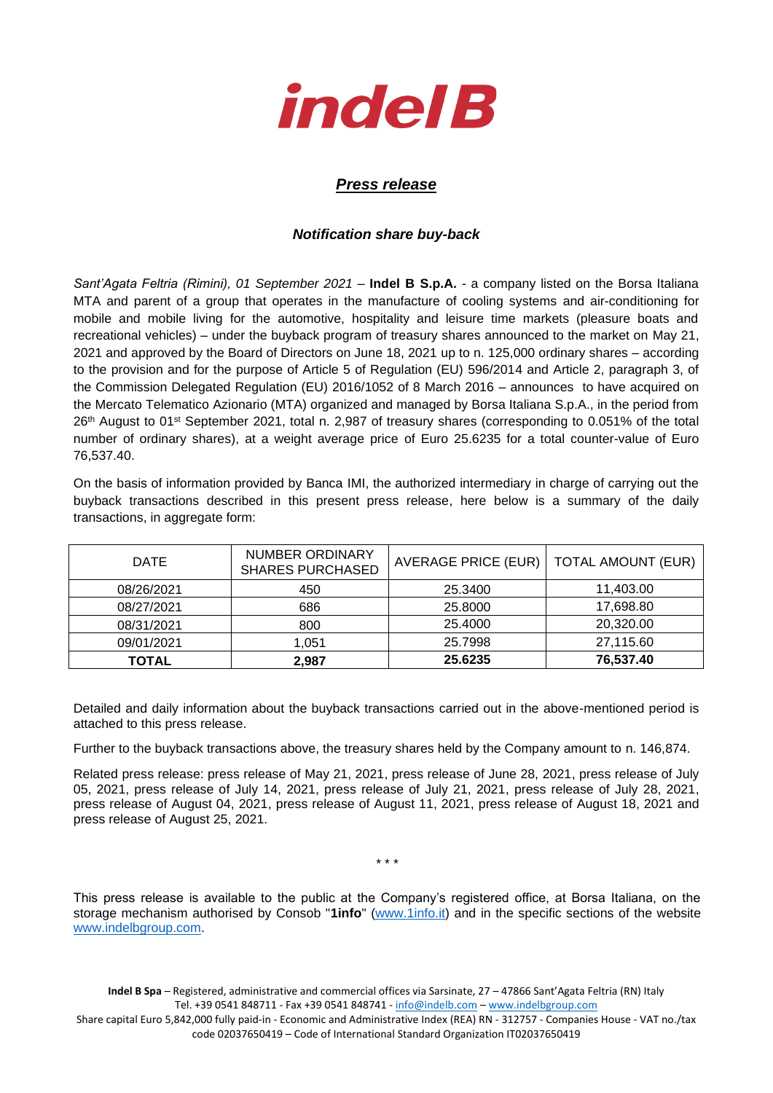

## *Press release*

## *Notification share buy-back*

*Sant'Agata Feltria (Rimini), 01 September 2021* – **Indel B S.p.A.** - a company listed on the Borsa Italiana MTA and parent of a group that operates in the manufacture of cooling systems and air-conditioning for mobile and mobile living for the automotive, hospitality and leisure time markets (pleasure boats and recreational vehicles) – under the buyback program of treasury shares announced to the market on May 21, 2021 and approved by the Board of Directors on June 18, 2021 up to n. 125,000 ordinary shares – according to the provision and for the purpose of Article 5 of Regulation (EU) 596/2014 and Article 2, paragraph 3, of the Commission Delegated Regulation (EU) 2016/1052 of 8 March 2016 – announces to have acquired on the Mercato Telematico Azionario (MTA) organized and managed by Borsa Italiana S.p.A., in the period from 26<sup>th</sup> August to 01<sup>st</sup> September 2021, total n. 2,987 of treasury shares (corresponding to 0.051% of the total number of ordinary shares), at a weight average price of Euro 25.6235 for a total counter-value of Euro 76,537.40.

On the basis of information provided by Banca IMI, the authorized intermediary in charge of carrying out the buyback transactions described in this present press release, here below is a summary of the daily transactions, in aggregate form:

| <b>DATE</b> | NUMBER ORDINARY<br><b>SHARES PURCHASED</b> | AVERAGE PRICE (EUR) | <b>TOTAL AMOUNT (EUR)</b> |
|-------------|--------------------------------------------|---------------------|---------------------------|
| 08/26/2021  | 450                                        | 25.3400             | 11.403.00                 |
| 08/27/2021  | 686                                        | 25,8000             | 17,698.80                 |
| 08/31/2021  | 800                                        | 25.4000             | 20,320.00                 |
| 09/01/2021  | 1,051                                      | 25.7998             | 27,115.60                 |
| TOTAL       | 2,987                                      | 25.6235             | 76,537.40                 |

Detailed and daily information about the buyback transactions carried out in the above-mentioned period is attached to this press release.

Further to the buyback transactions above, the treasury shares held by the Company amount to n. 146,874.

Related press release: press release of May 21, 2021, press release of June 28, 2021, press release of July 05, 2021, press release of July 14, 2021, press release of July 21, 2021, press release of July 28, 2021, press release of August 04, 2021, press release of August 11, 2021, press release of August 18, 2021 and press release of August 25, 2021.

\* \* \*

This press release is available to the public at the Company's registered office, at Borsa Italiana, on the storage mechanism authorised by Consob "**1info**" [\(www.1info.it\)](file:///C:/Users/ddelietovollaro/AppData/Local/Microsoft/Windows/INetCache/Content.Outlook/T87B94UR/www.1info.it) and in the specific sections of the website [www.indelbgroup.com.](http://www.indelbgroup.com/)

**Indel B Spa** – Registered, administrative and commercial offices via Sarsinate, 27 – 47866 Sant'Agata Feltria (RN) Italy Tel. +39 0541 848711 - Fax +39 0541 848741 - [info@indelb.com](mailto:info@indelb.com) – [www.indelbgroup.com](http://www.indelbgroup.com/)

Share capital Euro 5,842,000 fully paid-in - Economic and Administrative Index (REA) RN - 312757 - Companies House - VAT no./tax code 02037650419 – Code of International Standard Organization IT02037650419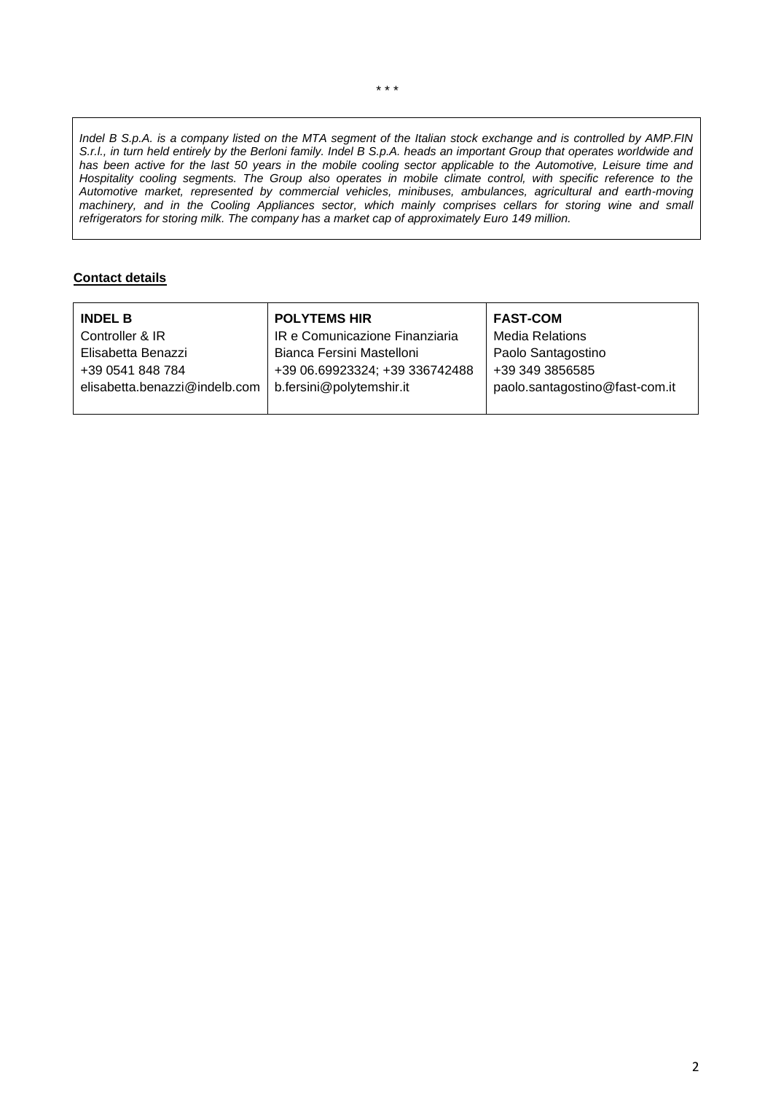*Indel B S.p.A. is a company listed on the MTA segment of the Italian stock exchange and is controlled by AMP.FIN S.r.l., in turn held entirely by the Berloni family. Indel B S.p.A. heads an important Group that operates worldwide and has been active for the last 50 years in the mobile cooling sector applicable to the Automotive, Leisure time and Hospitality cooling segments. The Group also operates in mobile climate control, with specific reference to the Automotive market, represented by commercial vehicles, minibuses, ambulances, agricultural and earth-moving machinery, and in the Cooling Appliances sector, which mainly comprises cellars for storing wine and small refrigerators for storing milk. The company has a market cap of approximately Euro 149 million.*

## **Contact details**

| <b>INDEL B</b>                | <b>POLYTEMS HIR</b>            | <b>FAST-COM</b>                |
|-------------------------------|--------------------------------|--------------------------------|
| Controller & IR               | IR e Comunicazione Finanziaria | <b>Media Relations</b>         |
| Elisabetta Benazzi            | Bianca Fersini Mastelloni      | Paolo Santagostino             |
| +39 0541 848 784              | +39 06.69923324; +39 336742488 | +39 349 3856585                |
| elisabetta.benazzi@indelb.com | b.fersini@polytemshir.it       | paolo.santagostino@fast-com.it |
|                               |                                |                                |